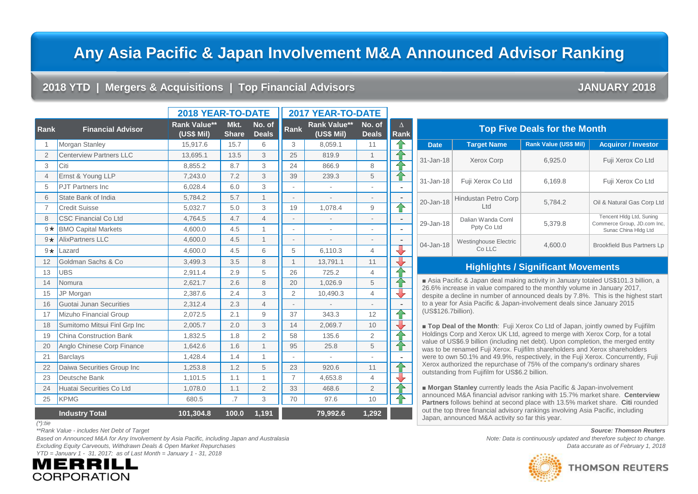# **Any Asia Pacific & Japan Involvement M&A Announced Advisor Ranking**

### **2018 YTD | Mergers & Acquisitions | Top Financial Advisors JANUARY 2018**

|                |                                | 2018 YEAR-TO-DATE                 |                      | 2017 YEAR-TO-DATE      |                |                                    |                          |                          |                    |
|----------------|--------------------------------|-----------------------------------|----------------------|------------------------|----------------|------------------------------------|--------------------------|--------------------------|--------------------|
| Rank           | <b>Financial Advisor</b>       | <b>Rank Value**</b><br>(US\$ Mil) | Mkt.<br><b>Share</b> | No. of<br><b>Deals</b> | Rank           | <b>Rank Value**</b><br>$(US$$ Mil) | No. of<br><b>Deals</b>   | $\Delta$<br>Rank         |                    |
| 1              | Morgan Stanley                 | 15,917.6                          | 15.7                 | 6                      | 3              | 8,059.1                            | 11                       | ⇧                        |                    |
| $\overline{2}$ | <b>Centerview Partners LLC</b> | 13,695.1                          | 13.5                 | 3                      | 25             | 819.9                              | $\mathbf{1}$             | 企                        | $31 - Jan-$        |
| 3              | Citi                           | 8,855.2                           | 8.7                  | 3                      | 24             | 866.9                              | 8                        |                          |                    |
| $\overline{4}$ | Ernst & Young LLP              | 7,243.0                           | 7.2                  | 3                      | 39             | 239.3                              | 5                        | 仐                        | 31-Jan-            |
| 5              | <b>PJT Partners Inc.</b>       | 6,028.4                           | 6.0                  | 3                      |                | $\overline{\phantom{a}}$           | $\overline{a}$           |                          |                    |
| 6              | State Bank of India            | 5,784.2                           | 5.7                  | 1                      | L,             |                                    |                          | $\overline{\phantom{a}}$ | 20-Jan-            |
| $\overline{7}$ | <b>Credit Suisse</b>           | 5,032.7                           | 5.0                  | 3                      | 19             | 1,078.4                            | 9                        | 仐                        |                    |
| 8              | <b>CSC Financial Co Ltd</b>    | 4,764.5                           | 4.7                  | $\overline{4}$         |                |                                    |                          | $\overline{\phantom{a}}$ | 29-Jan-            |
| $9*$           | <b>BMO Capital Markets</b>     | 4,600.0                           | 4.5                  | $\mathbf{1}$           | ÷,             | $\bar{a}$                          | $\overline{\phantom{a}}$ | $\overline{\phantom{a}}$ |                    |
| $9*$           | <b>AlixPartners LLC</b>        | 4,600.0                           | 4.5                  | $\mathbf{1}$           | $\overline{a}$ |                                    | $\overline{\phantom{a}}$ | $\overline{\phantom{a}}$ | 04-Jan-            |
| $9 \star$      | Lazard                         | 4,600.0                           | 4.5                  | 6                      | 5              | 6,110.3                            | $\overline{4}$           | ⇩                        |                    |
| 12             | Goldman Sachs & Co             | 3,499.3                           | 3.5                  | 8                      | $\mathbf{1}$   | 13,791.1                           | 11                       | ⇩                        |                    |
| 13             | <b>UBS</b>                     | 2,911.4                           | 2.9                  | 5                      | 26             | 725.2                              | $\overline{4}$           | ⇑                        |                    |
| 14             | Nomura                         | 2,621.7                           | 2.6                  | 8                      | 20             | 1,026.9                            | 5                        | ⇑                        | 26.6%              |
| 15             | JP Morgan                      | 2,387.6                           | 2.4                  | 3                      | 2              | 10,490.3                           | $\overline{4}$           | ⇩                        | despite            |
| 16             | Guotai Junan Securities        | 2,312.4                           | 2.3                  | 4                      |                |                                    |                          |                          | to a ye            |
| 17             | Mizuho Financial Group         | 2,072.5                           | 2.1                  | 9                      | 37             | 343.3                              | 12                       | ⇑                        | (US\$1)            |
| 18             | Sumitomo Mitsui Finl Grp Inc   | 2,005.7                           | 2.0                  | 3                      | 14             | 2,069.7                            | 10                       | ⊕                        | $\blacksquare$ Top |
| 19             | <b>China Construction Bank</b> | 1,832.5                           | 1.8                  | $\overline{2}$         | 58             | 135.6                              | 2                        | 仐                        | <b>Holding</b>     |
| 20             | Anglo Chinese Corp Finance     | 1,642.6                           | 1.6                  | $\mathbf{1}$           | 95             | 25.8                               | 5                        | 仐                        | value o<br>was to  |
| 21             | <b>Barclays</b>                | 1,428.4                           | 1.4                  | $\mathbf{1}$           |                | $\mathbf{r}$                       |                          |                          | were to            |
| 22             | Daiwa Securities Group Inc     | 1,253.8                           | 1.2                  | 5                      | 23             | 920.6                              | 11                       | ⇧                        | Xerox:<br>outstar  |
| 23             | Deutsche Bank                  | 1.101.5                           | 1.1                  | $\mathbf{1}$           | $\overline{7}$ | 4,653.8                            | $\overline{4}$           | ⊕                        |                    |
| 24             | Huatai Securities Co Ltd       | 1,078.0                           | 1.1                  | $\overline{2}$         | 33             | 468.6                              | $\overline{2}$           | 企                        | Mor<br>annour      |
| 25             | <b>KPMG</b>                    | 680.5                             | .7                   | 3                      | 70             | 97.6                               | 10                       | 企                        | Partne             |
|                | <b>Industry Total</b>          | 101,304.8                         | 100.0                | 1,191                  |                | 79,992.6                           | 1,292                    |                          | out the<br>Japan,  |

|   |  | ۰. |
|---|--|----|
| I |  |    |

Based on Announced M&A for Any Involvement by Asia Pacific, including Japan and Australasia **Based Concepts and the example of the continuously updated and therefore subject to change.** *Excluding Equity Carveouts, Withdrawn Deals & Open Market Repurchases Data accurate as of February 1, 2018 YTD = January 1 - 31, 2017; as of Last Month = January 1 - 31, 2018*



| <b>Top Five Deals for the Month</b> |                                        |                              |                                                                                 |  |  |  |  |  |
|-------------------------------------|----------------------------------------|------------------------------|---------------------------------------------------------------------------------|--|--|--|--|--|
| <b>Date</b>                         | <b>Target Name</b>                     | <b>Rank Value (US\$ Mil)</b> | <b>Acquiror / Investor</b>                                                      |  |  |  |  |  |
| $31 - Jan-18$                       | <b>Xerox Corp</b>                      | 6,925.0                      | Fuji Xerox Co Ltd                                                               |  |  |  |  |  |
| $31 - Jan-18$                       | Fuji Xerox Co Ltd                      | 6,169.8                      | Fuji Xerox Co Ltd                                                               |  |  |  |  |  |
| 20-Jan-18                           | Hindustan Petro Corp<br>Ltd            | 5.784.2                      | Oil & Natural Gas Corp Ltd                                                      |  |  |  |  |  |
| 29-Jan-18                           | Dalian Wanda Coml<br>Ppty Co Ltd       | 5,379.8                      | Tencent HIdg Ltd, Suning<br>Commerce Group, JD.com Inc,<br>Sunac China Hldg Ltd |  |  |  |  |  |
| 04-Jan-18                           | <b>Westinghouse Electric</b><br>Co LLC | 4.600.0                      | <b>Brookfield Bus Partners Lp</b>                                               |  |  |  |  |  |

### **Highlights / Significant Movements**

■ Asia Pacific & Japan deal making activity in January totaled US\$101.3 billion, a 26.6% increase in value compared to the monthly volume in January 2017, despite a decline in number of announced deals by 7.8%. This is the highest start to a year for Asia Pacific & Japan-involvement deals since January 2015 (US\$126.7billion).

■ **Top Deal of the Month**: Fuji Xerox Co Ltd of Japan, jointly owned by Fujifilm Holdings Corp and Xerox UK Ltd, agreed to merge with Xerox Corp, for a total value of US\$6.9 billion (including net debt). Upon completion, the merged entity was to be renamed Fuji Xerox. Fujifilm shareholders and Xerox shareholders were to own 50.1% and 49.9%, respectively, in the Fuji Xerox. Concurrently, Fuji Xerox authorized the repurchase of 75% of the company's ordinary shares outstanding from Fujifilm for US\$6.2 billion.

■ **Morgan Stanley** currently leads the Asia Pacific & Japan-involvement announced M&A financial advisor ranking with 15.7% market share. **Centerview Partners** follows behind at second place with 13.5% market share. **Citi** rounded out the top three financial advisory rankings involving Asia Pacific, including Japan, announced M&A activity so far this year.

*\*\*Rank Value - includes Net Debt of Target Source: Thomson Reuters*